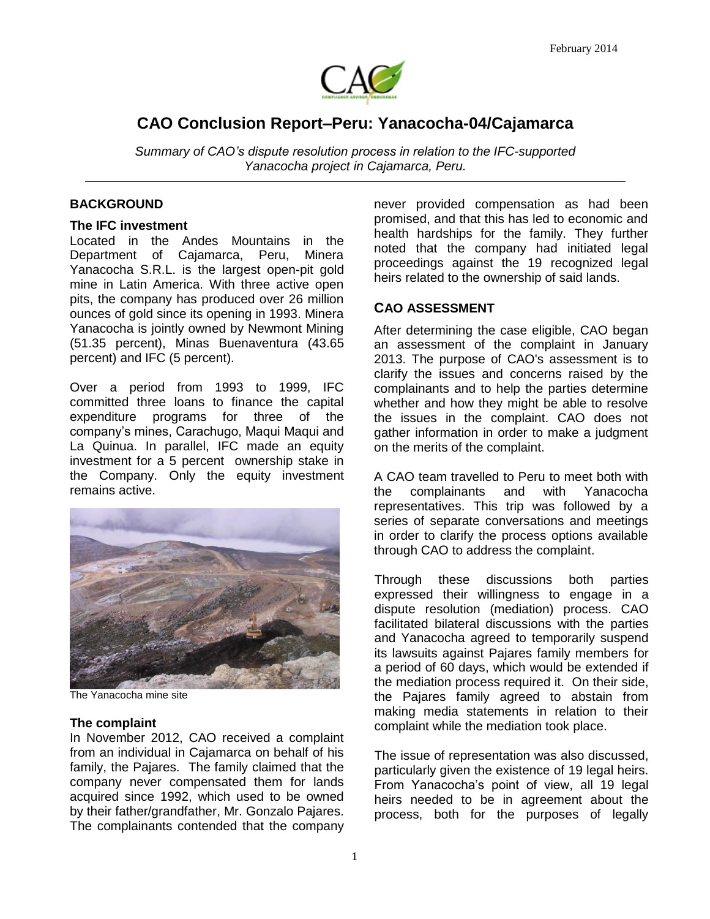

# **CAO Conclusion Report–Peru: Yanacocha-04/Cajamarca**

*Summary of CAO's dispute resolution process in relation to the IFC-supported Yanacocha project in Cajamarca, Peru.* 

## **BACKGROUND**

#### **The IFC investment**

Located in the Andes Mountains in the Department of Cajamarca, Peru, Minera Yanacocha S.R.L. is the largest open-pit gold mine in Latin America. With three active open pits, the company has produced over 26 million ounces of gold since its opening in 1993. Minera Yanacocha is jointly owned by Newmont Mining (51.35 percent), Minas Buenaventura (43.65 percent) and IFC (5 percent).

Over a period from 1993 to 1999, IFC committed three loans to finance the capital expenditure programs for three of the company's mines, Carachugo, Maqui Maqui and La Quinua. In parallel, IFC made an equity investment for a 5 percent ownership stake in the Company. Only the equity investment remains active.



The Yanacocha mine site

#### **The complaint**

In November 2012, CAO received a complaint from an individual in Cajamarca on behalf of his family, the Pajares. The family claimed that the company never compensated them for lands acquired since 1992, which used to be owned by their father/grandfather, Mr. Gonzalo Pajares. The complainants contended that the company

never provided compensation as had been promised, and that this has led to economic and health hardships for the family. They further noted that the company had initiated legal proceedings against the 19 recognized legal heirs related to the ownership of said lands.

## **CAO ASSESSMENT**

After determining the case eligible, CAO began an assessment of the complaint in January 2013. The purpose of CAO's assessment is to clarify the issues and concerns raised by the complainants and to help the parties determine whether and how they might be able to resolve the issues in the complaint. CAO does not gather information in order to make a judgment on the merits of the complaint.

A CAO team travelled to Peru to meet both with the complainants and with Yanacocha representatives. This trip was followed by a series of separate conversations and meetings in order to clarify the process options available through CAO to address the complaint.

Through these discussions both parties expressed their willingness to engage in a dispute resolution (mediation) process. CAO facilitated bilateral discussions with the parties and Yanacocha agreed to temporarily suspend its lawsuits against Pajares family members for a period of 60 days, which would be extended if the mediation process required it. On their side, the Pajares family agreed to abstain from making media statements in relation to their complaint while the mediation took place.

The issue of representation was also discussed, particularly given the existence of 19 legal heirs. From Yanacocha's point of view, all 19 legal heirs needed to be in agreement about the process, both for the purposes of legally